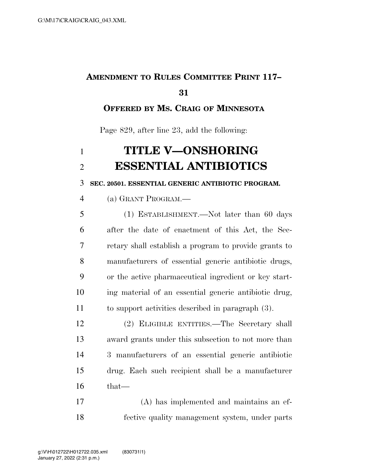## **AMENDMENT TO RULES COMMITTEE PRINT 117–**

### **OFFERED BY MS. CRAIG OF MINNESOTA**

Page 829, after line 23, add the following:

# **TITLE V—ONSHORING ESSENTIAL ANTIBIOTICS**

**SEC. 20501. ESSENTIAL GENERIC ANTIBIOTIC PROGRAM.** 

(a) GRANT PROGRAM.—

 (1) ESTABLISHMENT.—Not later than 60 days after the date of enactment of this Act, the Sec- retary shall establish a program to provide grants to manufacturers of essential generic antibiotic drugs, or the active pharmaceutical ingredient or key start- ing material of an essential generic antibiotic drug, to support activities described in paragraph (3).

 (2) ELIGIBLE ENTITIES.—The Secretary shall award grants under this subsection to not more than 3 manufacturers of an essential generic antibiotic drug. Each such recipient shall be a manufacturer that—

 (A) has implemented and maintains an ef-fective quality management system, under parts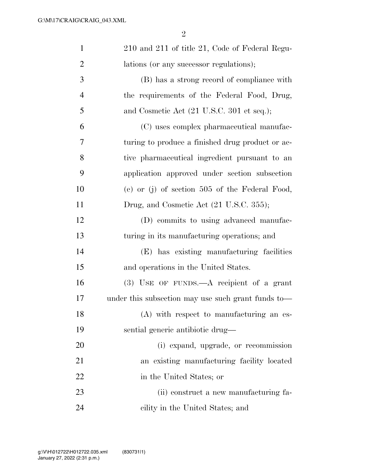| $\mathbf{1}$   | 210 and 211 of title 21, Code of Federal Regu-     |
|----------------|----------------------------------------------------|
| $\overline{2}$ | lations (or any successor regulations);            |
| 3              | (B) has a strong record of compliance with         |
| $\overline{4}$ | the requirements of the Federal Food, Drug,        |
| 5              | and Cosmetic Act (21 U.S.C. 301 et seq.);          |
| 6              | (C) uses complex pharmaceutical manufac-           |
| 7              | turing to produce a finished drug product or ac-   |
| 8              | tive pharmaceutical ingredient pursuant to an      |
| 9              | application approved under section subsection      |
| 10             | (c) or (j) of section $505$ of the Federal Food,   |
| 11             | Drug, and Cosmetic Act (21 U.S.C. 355);            |
| 12             | (D) commits to using advanced manufac-             |
| 13             | turing in its manufacturing operations; and        |
| 14             | (E) has existing manufacturing facilities          |
| 15             | and operations in the United States.               |
| 16             | $(3)$ USE OF FUNDS.—A recipient of a grant         |
| 17             | under this subsection may use such grant funds to— |
| 18             | (A) with respect to manufacturing an es-           |
| 19             | sential generic antibiotic drug—                   |
| 20             | (i) expand, upgrade, or recommission               |
| 21             | an existing manufacturing facility located         |
| 22             | in the United States; or                           |
| 23             | (ii) construct a new manufacturing fa-             |
| 24             | cility in the United States; and                   |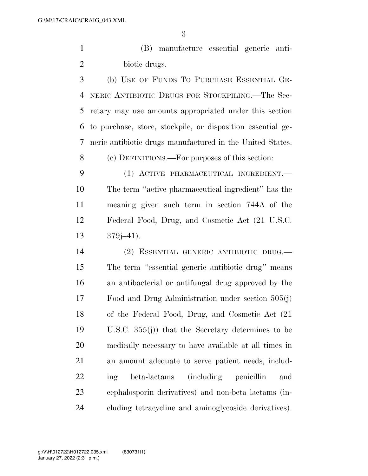(B) manufacture essential generic anti-biotic drugs.

 (b) USE OF FUNDS TO PURCHASE ESSENTIAL GE- NERIC ANTIBIOTIC DRUGS FOR STOCKPILING.—The Sec- retary may use amounts appropriated under this section to purchase, store, stockpile, or disposition essential ge-neric antibiotic drugs manufactured in the United States.

(c) DEFINITIONS.—For purposes of this section:

 (1) ACTIVE PHARMACEUTICAL INGREDIENT.— The term ''active pharmaceutical ingredient'' has the meaning given such term in section 744A of the Federal Food, Drug, and Cosmetic Act (21 U.S.C. 379j–41).

 (2) ESSENTIAL GENERIC ANTIBIOTIC DRUG.— The term ''essential generic antibiotic drug'' means an antibacterial or antifungal drug approved by the Food and Drug Administration under section 505(j) of the Federal Food, Drug, and Cosmetic Act (21 U.S.C. 355(j)) that the Secretary determines to be medically necessary to have available at all times in an amount adequate to serve patient needs, includ- ing beta-lactams (including penicillin and cephalosporin derivatives) and non-beta lactams (in-cluding tetracycline and aminoglycoside derivatives).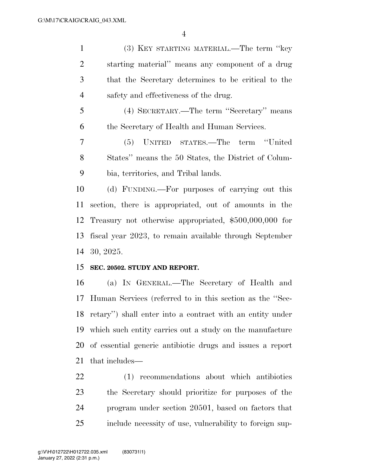(3) KEY STARTING MATERIAL.—The term ''key starting material'' means any component of a drug that the Secretary determines to be critical to the safety and effectiveness of the drug.

 (4) SECRETARY.—The term ''Secretary'' means the Secretary of Health and Human Services.

 (5) UNITED STATES.—The term ''United States'' means the 50 States, the District of Colum-bia, territories, and Tribal lands.

 (d) FUNDING.—For purposes of carrying out this section, there is appropriated, out of amounts in the Treasury not otherwise appropriated, \$500,000,000 for fiscal year 2023, to remain available through September 30, 2025.

#### **SEC. 20502. STUDY AND REPORT.**

 (a) IN GENERAL.—The Secretary of Health and Human Services (referred to in this section as the ''Sec- retary'') shall enter into a contract with an entity under which such entity carries out a study on the manufacture of essential generic antibiotic drugs and issues a report that includes—

 (1) recommendations about which antibiotics the Secretary should prioritize for purposes of the program under section 20501, based on factors that include necessity of use, vulnerability to foreign sup-